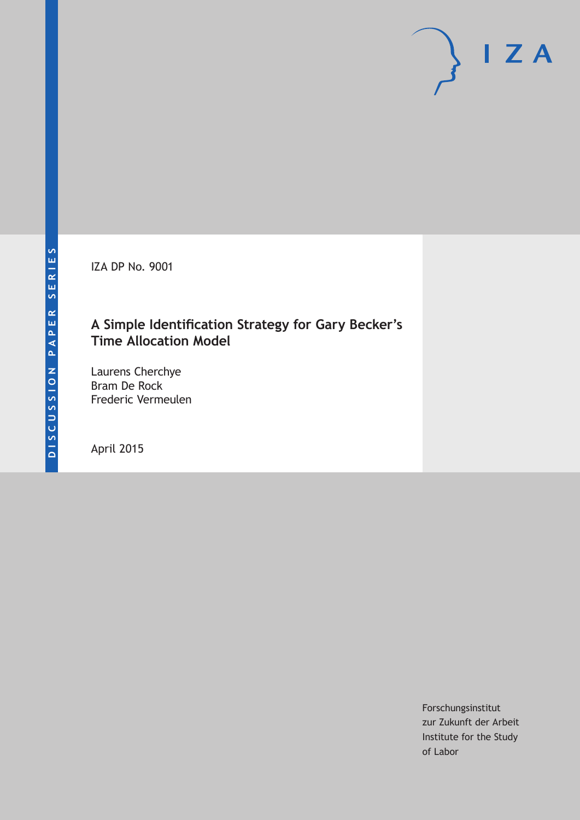IZA DP No. 9001

### **A Simple Identification Strategy for Gary Becker's Time Allocation Model**

Laurens Cherchye Bram De Rock Frederic Vermeulen

April 2015

Forschungsinstitut zur Zukunft der Arbeit Institute for the Study of Labor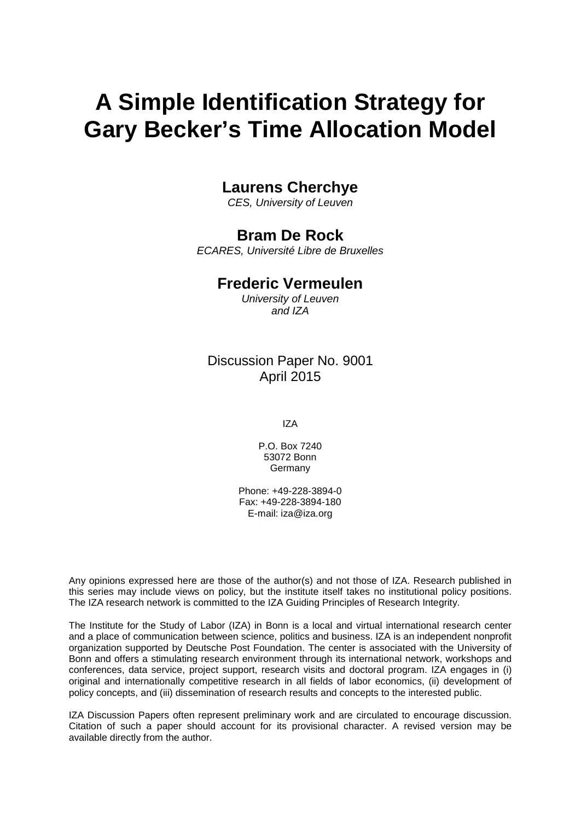# **A Simple Identification Strategy for Gary Becker's Time Allocation Model**

### **Laurens Cherchye**

*CES, University of Leuven*

### **Bram De Rock**

*ECARES, Université Libre de Bruxelles*

#### **Frederic Vermeulen**

*University of Leuven and IZA*

### Discussion Paper No. 9001 April 2015

IZA

P.O. Box 7240 53072 Bonn **Germany** 

Phone: +49-228-3894-0 Fax: +49-228-3894-180 E-mail: iza@iza.org

Any opinions expressed here are those of the author(s) and not those of IZA. Research published in this series may include views on policy, but the institute itself takes no institutional policy positions. The IZA research network is committed to the IZA Guiding Principles of Research Integrity.

The Institute for the Study of Labor (IZA) in Bonn is a local and virtual international research center and a place of communication between science, politics and business. IZA is an independent nonprofit organization supported by Deutsche Post Foundation. The center is associated with the University of Bonn and offers a stimulating research environment through its international network, workshops and conferences, data service, project support, research visits and doctoral program. IZA engages in (i) original and internationally competitive research in all fields of labor economics, (ii) development of policy concepts, and (iii) dissemination of research results and concepts to the interested public.

<span id="page-1-0"></span>IZA Discussion Papers often represent preliminary work and are circulated to encourage discussion. Citation of such a paper should account for its provisional character. A revised version may be available directly from the author.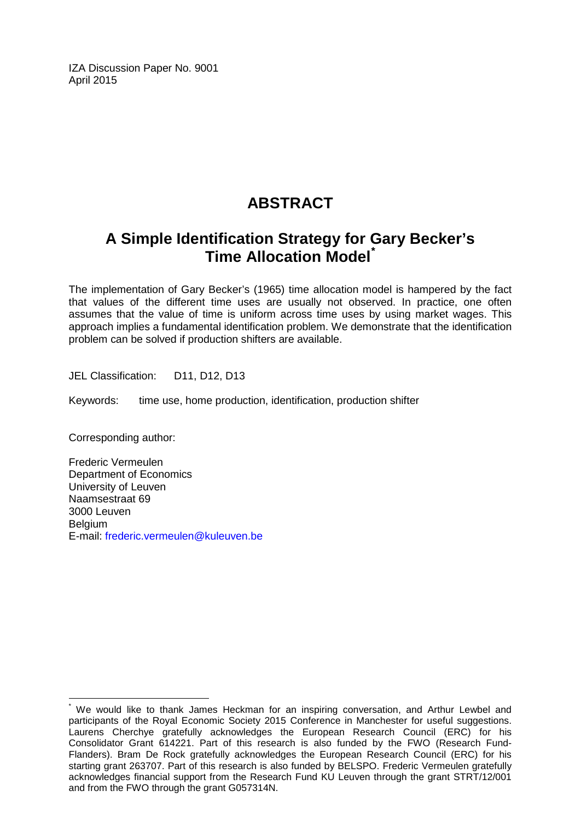IZA Discussion Paper No. 9001 April 2015

# **ABSTRACT**

# **A Simple Identification Strategy for Gary Becker's Time Allocation Model[\\*](#page-1-0)**

The implementation of Gary Becker's (1965) time allocation model is hampered by the fact that values of the different time uses are usually not observed. In practice, one often assumes that the value of time is uniform across time uses by using market wages. This approach implies a fundamental identification problem. We demonstrate that the identification problem can be solved if production shifters are available.

JEL Classification: D11, D12, D13

Keywords: time use, home production, identification, production shifter

Corresponding author:

Frederic Vermeulen Department of Economics University of Leuven Naamsestraat 69 3000 Leuven Belgium E-mail: [frederic.vermeulen@kuleuven.be](mailto:frederic.vermeulen@kuleuven.be)

We would like to thank James Heckman for an inspiring conversation, and Arthur Lewbel and participants of the Royal Economic Society 2015 Conference in Manchester for useful suggestions. Laurens Cherchye gratefully acknowledges the European Research Council (ERC) for his Consolidator Grant 614221. Part of this research is also funded by the FWO (Research Fund-Flanders). Bram De Rock gratefully acknowledges the European Research Council (ERC) for his starting grant 263707. Part of this research is also funded by BELSPO. Frederic Vermeulen gratefully acknowledges financial support from the Research Fund KU Leuven through the grant STRT/12/001 and from the FWO through the grant G057314N.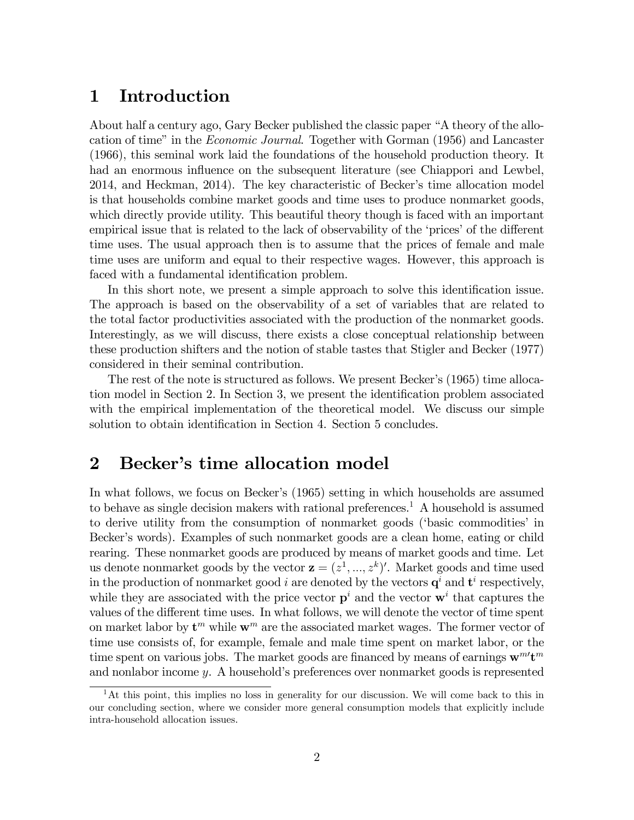### 1 Introduction

About half a century ago, Gary Becker published the classic paper "A theory of the allocation of time" in the *Economic Journal*. Together with Gorman (1956) and Lancaster (1966), this seminal work laid the foundations of the household production theory. It had an enormous influence on the subsequent literature (see Chiappori and Lewbel, 2014, and Heckman, 2014). The key characteristic of Becker's time allocation model is that households combine market goods and time uses to produce nonmarket goods, which directly provide utility. This beautiful theory though is faced with an important empirical issue that is related to the lack of observability of the 'prices' of the different time uses. The usual approach then is to assume that the prices of female and male time uses are uniform and equal to their respective wages. However, this approach is faced with a fundamental identification problem.

In this short note, we present a simple approach to solve this identification issue. The approach is based on the observability of a set of variables that are related to the total factor productivities associated with the production of the nonmarket goods. Interestingly, as we will discuss, there exists a close conceptual relationship between these production shifters and the notion of stable tastes that Stigler and Becker (1977) considered in their seminal contribution.

The rest of the note is structured as follows. We present Becker's (1965) time allocation model in Section 2. In Section 3, we present the identification problem associated with the empirical implementation of the theoretical model. We discuss our simple solution to obtain identification in Section 4. Section 5 concludes.

### 2 Becker's time allocation model

In what follows, we focus on Becker's (1965) setting in which households are assumed to behave as single decision makers with rational preferences.<sup>1</sup> A household is assumed to derive utility from the consumption of nonmarket goods ('basic commodities' in Becker's words). Examples of such nonmarket goods are a clean home, eating or child rearing. These nonmarket goods are produced by means of market goods and time. Let us denote nonmarket goods by the vector  $\mathbf{z} = (z^1, ..., z^k)'$ . Market goods and time used in the production of nonmarket good *i* are denoted by the vectors  $q^i$  and  $t^i$  respectively, while they are associated with the price vector  $p^i$  and the vector  $w^i$  that captures the values of the different time uses. In what follows, we will denote the vector of time spent on market labor by  $\mathbf{t}^m$  while  $\mathbf{w}^m$  are the associated market wages. The former vector of time use consists of, for example, female and male time spent on market labor, or the time spent on various jobs. The market goods are financed by means of earnings  $w^m' t^m$ and nonlabor income  $y$ . A household's preferences over nonmarket goods is represented

<sup>&</sup>lt;sup>1</sup>At this point, this implies no loss in generality for our discussion. We will come back to this in our concluding section, where we consider more general consumption models that explicitly include intra-household allocation issues.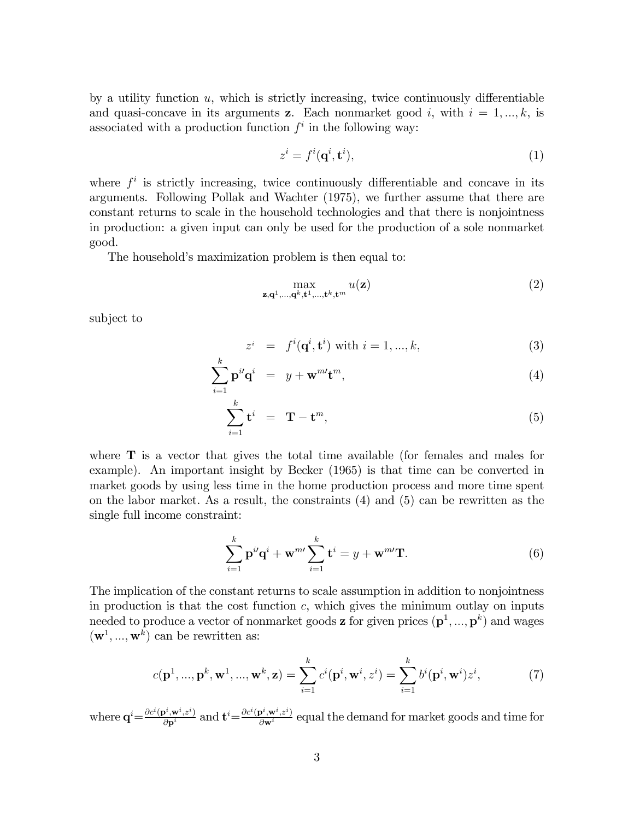by a utility function  $u$ , which is strictly increasing, twice continuously differentiable and quasi-concave in its arguments z. Each nonmarket good i, with  $i = 1, ..., k$ , is associated with a production function  $f^i$  in the following way:

$$
z^i = f^i(\mathbf{q}^i, \mathbf{t}^i),\tag{1}
$$

where  $f^i$  is strictly increasing, twice continuously differentiable and concave in its arguments. Following Pollak and Wachter (1975), we further assume that there are constant returns to scale in the household technologies and that there is nonjointness in production: a given input can only be used for the production of a sole nonmarket good.

The household's maximization problem is then equal to:

$$
\max_{\mathbf{z},\mathbf{q}^1,\ldots,\mathbf{q}^k,\mathbf{t}^1,\ldots,\mathbf{t}^k,\mathbf{t}^m} u(\mathbf{z})
$$
(2)

subject to

$$
z^{i} = f^{i}(\mathbf{q}^{i}, \mathbf{t}^{i}) \text{ with } i = 1, ..., k,
$$
\n(3)

$$
\sum_{i=1}^{k} \mathbf{p}^{i} \mathbf{q}^{i} = y + \mathbf{w}^{m} \mathbf{t}^{m}, \qquad (4)
$$

$$
\sum_{i=1}^{k} \mathbf{t}^{i} = \mathbf{T} - \mathbf{t}^{m}, \tag{5}
$$

where  $\bf{T}$  is a vector that gives the total time available (for females and males for example). An important insight by Becker (1965) is that time can be converted in market goods by using less time in the home production process and more time spent on the labor market. As a result, the constraints (4) and (5) can be rewritten as the single full income constraint:

$$
\sum_{i=1}^{k} \mathbf{p}^{i} \mathbf{q}^{i} + \mathbf{w}^{m} \sum_{i=1}^{k} \mathbf{t}^{i} = y + \mathbf{w}^{m} \mathbf{T}.
$$
 (6)

The implication of the constant returns to scale assumption in addition to nonjointness in production is that the cost function  $c$ , which gives the minimum outlay on inputs needed to produce a vector of nonmarket goods **z** for given prices  $(\mathbf{p}^1, ..., \mathbf{p}^k)$  and wages  $(\mathbf{w}^1, ..., \mathbf{w}^k)$  can be rewritten as:

$$
c(\mathbf{p}^1, ..., \mathbf{p}^k, \mathbf{w}^1, ..., \mathbf{w}^k, \mathbf{z}) = \sum_{i=1}^k c^i(\mathbf{p}^i, \mathbf{w}^i, z^i) = \sum_{i=1}^k b^i(\mathbf{p}^i, \mathbf{w}^i) z^i,
$$
(7)

where  $\mathbf{q}^i = \frac{\partial c^i(\mathbf{p}^i, \mathbf{w}^i, z^i)}{\partial \mathbf{p}^i}$  and  $\mathbf{t}^i = \frac{\partial c^i(\mathbf{p}^i, \mathbf{w}^i, z^i)}{\partial \mathbf{w}^i}$  equal the demand for market goods and time for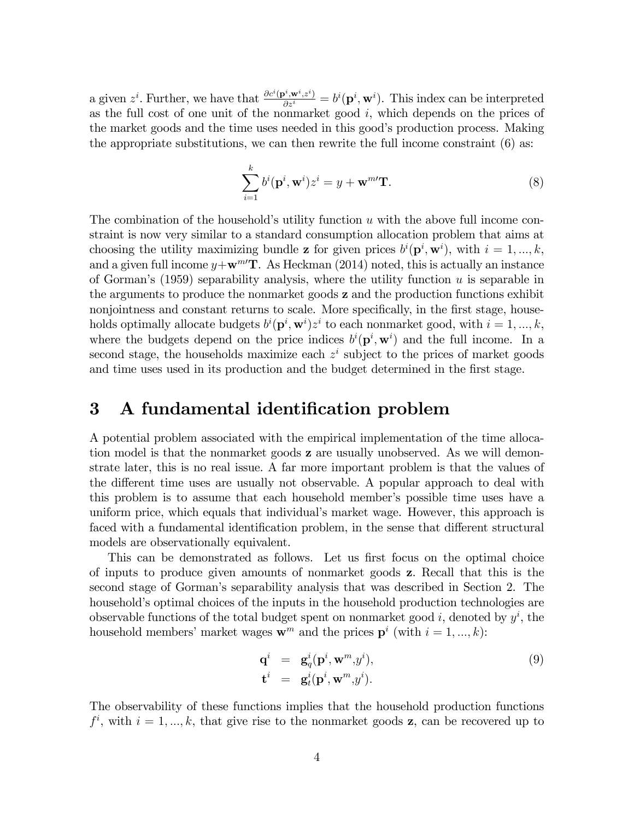a given  $z^i$ . Further, we have that  $\frac{\partial c^i(\mathbf{p}^i, \mathbf{w}^i, z^i)}{\partial z^i} = b^i(\mathbf{p}^i, \mathbf{w}^i)$ . This index can be interpreted as the full cost of one unit of the nonmarket good  $i$ , which depends on the prices of the market goods and the time uses needed in this good's production process. Making the appropriate substitutions, we can then rewrite the full income constraint (6) as:

$$
\sum_{i=1}^{k} b^{i}(\mathbf{p}^{i}, \mathbf{w}^{i})z^{i} = y + \mathbf{w}^{m} \mathbf{T}.
$$
\n(8)

The combination of the household's utility function  $u$  with the above full income constraint is now very similar to a standard consumption allocation problem that aims at choosing the utility maximizing bundle **z** for given prices  $b^{i}(\mathbf{p}^{i}, \mathbf{w}^{i})$ , with  $i = 1, ..., k$ , and a given full income  $y+\mathbf{w}^{m}$ . As Heckman (2014) noted, this is actually an instance of Gorman's (1959) separability analysis, where the utility function  $u$  is separable in the arguments to produce the nonmarket goods z and the production functions exhibit nonjointness and constant returns to scale. More specifically, in the first stage, households optimally allocate budgets  $b^{i}(\mathbf{p}^{i}, \mathbf{w}^{i})z^{i}$  to each nonmarket good, with  $i = 1, ..., k$ , where the budgets depend on the price indices  $b^{i}(\mathbf{p}^{i}, \mathbf{w}^{i})$  and the full income. In a second stage, the households maximize each  $z^i$  subject to the prices of market goods and time uses used in its production and the budget determined in the first stage.

### 3 A fundamental identification problem

A potential problem associated with the empirical implementation of the time allocation model is that the nonmarket goods z are usually unobserved. As we will demonstrate later, this is no real issue. A far more important problem is that the values of the different time uses are usually not observable. A popular approach to deal with this problem is to assume that each household member's possible time uses have a uniform price, which equals that individualís market wage. However, this approach is faced with a fundamental identification problem, in the sense that different structural models are observationally equivalent.

This can be demonstrated as follows. Let us first focus on the optimal choice of inputs to produce given amounts of nonmarket goods z. Recall that this is the second stage of Gormanís separability analysis that was described in Section 2. The household's optimal choices of the inputs in the household production technologies are observable functions of the total budget spent on nonmarket good  $i$ , denoted by  $y^i$ , the household members' market wages  $\mathbf{w}^m$  and the prices  $\mathbf{p}^i$  (with  $i = 1, ..., k$ ):

$$
\mathbf{q}^i = \mathbf{g}_q^i(\mathbf{p}^i, \mathbf{w}^m, y^i), \n\mathbf{t}^i = \mathbf{g}_t^i(\mathbf{p}^i, \mathbf{w}^m, y^i).
$$
\n(9)

The observability of these functions implies that the household production functions  $f^i$ , with  $i = 1, ..., k$ , that give rise to the nonmarket goods z, can be recovered up to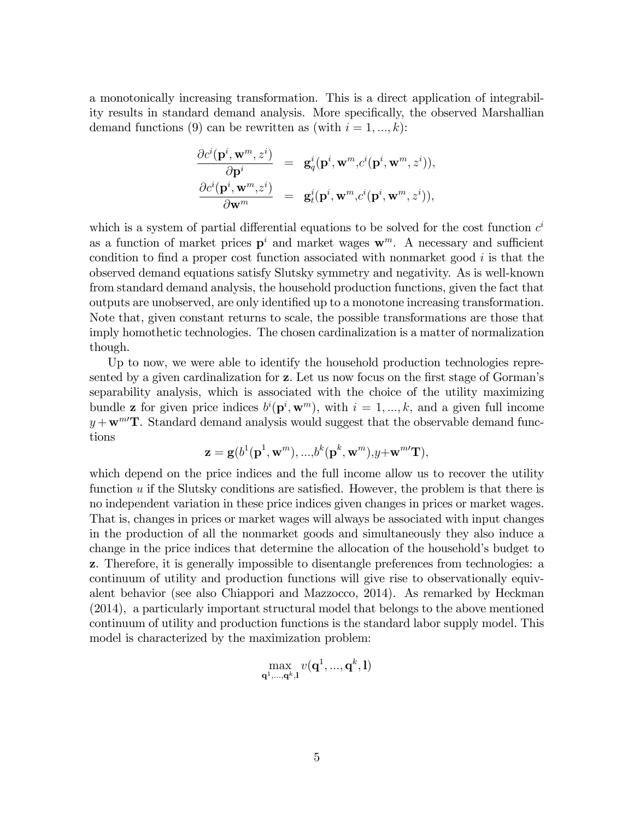a monotonically increasing transformation. This is a direct application of integrability results in standard demand analysis. More specifically, the observed Marshallian demand functions (9) can be rewritten as (with  $i = 1, ..., k$ ):

$$
\begin{array}{ccc} \displaystyle \frac{\partial c^i(\mathbf{p}^i,\mathbf{w}^m,z^i)}{\partial \mathbf{p}^i} &=& \mathbf{g}^i_q\big(\mathbf{p}^i,\mathbf{w}^m,c^i(\mathbf{p}^i,\mathbf{w}^m,z^i)\big),\\ \displaystyle \frac{\partial c^i(\mathbf{p}^i,\mathbf{w}^m,z^i)}{\partial \mathbf{w}^m} &=& \mathbf{g}^i_t(\mathbf{p}^i,\mathbf{w}^m,c^i(\mathbf{p}^i,\mathbf{w}^m,z^i)), \end{array}
$$

which is a system of partial differential equations to be solved for the cost function  $c^i$ as a function of market prices  $p^i$  and market wages  $w^m$ . A necessary and sufficient condition to find a proper cost function associated with nonmarket good  $i$  is that the observed demand equations satisfy Slutsky symmetry and negativity. As is well-known from standard demand analysis, the household production functions, given the fact that outputs are unobserved, are only identified up to a monotone increasing transformation. Note that, given constant returns to scale, the possible transformations are those that imply homothetic technologies. The chosen cardinalization is a matter of normalization though.

Up to now, we were able to identify the household production technologies represented by a given cardinalization for z. Let us now focus on the first stage of Gorman's separability analysis, which is associated with the choice of the utility maximizing bundle **z** for given price indices  $b^{i}(\mathbf{p}^{i}, \mathbf{w}^{m})$ , with  $i = 1, ..., k$ , and a given full income  $y + w^{mT}$ . Standard demand analysis would suggest that the observable demand functions

$$
\mathbf{z} = \mathbf{g}(b^1(\mathbf{p}^1, \mathbf{w}^m),...,b^k(\mathbf{p}^k, \mathbf{w}^m), y + \mathbf{w}^{m \prime} \mathbf{T}),
$$

which depend on the price indices and the full income allow us to recover the utility function  $u$  if the Slutsky conditions are satisfied. However, the problem is that there is no independent variation in these price indices given changes in prices or market wages. That is, changes in prices or market wages will always be associated with input changes in the production of all the nonmarket goods and simultaneously they also induce a change in the price indices that determine the allocation of the household's budget to z. Therefore, it is generally impossible to disentangle preferences from technologies: a continuum of utility and production functions will give rise to observationally equivalent behavior (see also Chiappori and Mazzocco, 2014). As remarked by Heckman (2014), a particularly important structural model that belongs to the above mentioned continuum of utility and production functions is the standard labor supply model. This model is characterized by the maximization problem:

$$
\max_{\mathbf{q}^1,\ldots,\mathbf{q}^k,\mathbf{l}} v(\mathbf{q}^1,...,\mathbf{q}^k,\mathbf{l})
$$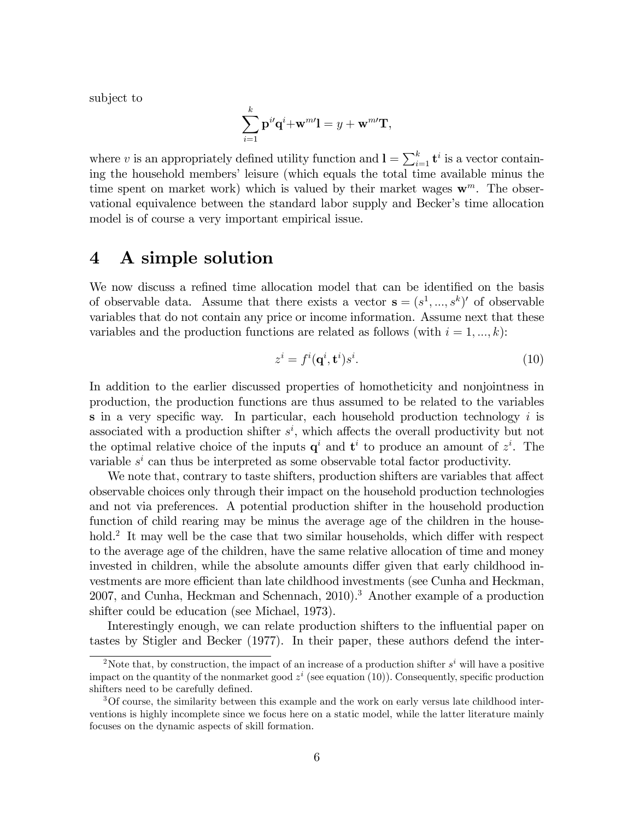subject to

$$
\sum_{i=1}^k \mathbf{p}^{i} \mathbf{q}^i + \mathbf{w}^{m} \mathbf{l} = y + \mathbf{w}^{m} \mathbf{T},
$$

where v is an appropriately defined utility function and  $\mathbf{l} = \sum_{i=1}^{k} \mathbf{t}^i$  is a vector containing the household members' leisure (which equals the total time available minus the time spent on market work) which is valued by their market wages  $\mathbf{w}^m$ . The observational equivalence between the standard labor supply and Becker's time allocation model is of course a very important empirical issue.

### 4 A simple solution

We now discuss a refined time allocation model that can be identified on the basis of observable data. Assume that there exists a vector  $\mathbf{s} = (s^1, ..., s^k)'$  of observable variables that do not contain any price or income information. Assume next that these variables and the production functions are related as follows (with  $i = 1, ..., k$ ):

$$
z^i = f^i(\mathbf{q}^i, \mathbf{t}^i)s^i.
$$
 (10)

In addition to the earlier discussed properties of homotheticity and nonjointness in production, the production functions are thus assumed to be related to the variables s in a very specific way. In particular, each household production technology  $i$  is associated with a production shifter  $s^i$ , which affects the overall productivity but not the optimal relative choice of the inputs  $q^i$  and  $t^i$  to produce an amount of  $z^i$ . The variable  $s^i$  can thus be interpreted as some observable total factor productivity.

We note that, contrary to taste shifters, production shifters are variables that affect observable choices only through their impact on the household production technologies and not via preferences. A potential production shifter in the household production function of child rearing may be minus the average age of the children in the household.<sup>2</sup> It may well be the case that two similar households, which differ with respect to the average age of the children, have the same relative allocation of time and money invested in children, while the absolute amounts differ given that early childhood investments are more efficient than late childhood investments (see Cunha and Heckman, 2007, and Cunha, Heckman and Schennach, 2010).<sup>3</sup> Another example of a production shifter could be education (see Michael, 1973).

Interestingly enough, we can relate production shifters to the influential paper on tastes by Stigler and Becker (1977). In their paper, these authors defend the inter-

<sup>&</sup>lt;sup>2</sup>Note that, by construction, the impact of an increase of a production shifter  $s^i$  will have a positive impact on the quantity of the nonmarket good  $z^i$  (see equation (10)). Consequently, specific production shifters need to be carefully defined.

<sup>3</sup>Of course, the similarity between this example and the work on early versus late childhood interventions is highly incomplete since we focus here on a static model, while the latter literature mainly focuses on the dynamic aspects of skill formation.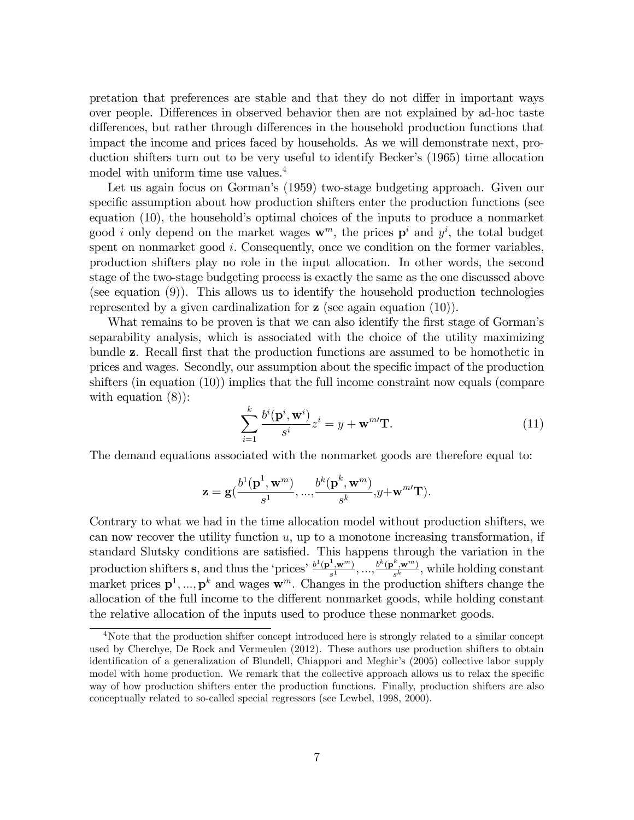pretation that preferences are stable and that they do not differ in important ways over people. Differences in observed behavior then are not explained by ad-hoc taste differences, but rather through differences in the household production functions that impact the income and prices faced by households. As we will demonstrate next, production shifters turn out to be very useful to identify Becker's (1965) time allocation model with uniform time use values.<sup>4</sup>

Let us again focus on Gorman's (1959) two-stage budgeting approach. Given our specific assumption about how production shifters enter the production functions (see equation (10), the household's optimal choices of the inputs to produce a nonmarket good *i* only depend on the market wages  $\mathbf{w}^m$ , the prices  $\mathbf{p}^i$  and  $y^i$ , the total budget spent on nonmarket good  $i$ . Consequently, once we condition on the former variables, production shifters play no role in the input allocation. In other words, the second stage of the two-stage budgeting process is exactly the same as the one discussed above (see equation (9)). This allows us to identify the household production technologies represented by a given cardinalization for z (see again equation (10)).

What remains to be proven is that we can also identify the first stage of Gorman's separability analysis, which is associated with the choice of the utility maximizing bundle **z**. Recall first that the production functions are assumed to be homothetic in prices and wages. Secondly, our assumption about the specific impact of the production shifters (in equation (10)) implies that the full income constraint now equals (compare with equation  $(8)$ :

$$
\sum_{i=1}^{k} \frac{b^{i}(\mathbf{p}^{i}, \mathbf{w}^{i})}{s^{i}} z^{i} = y + \mathbf{w}^{m} \mathbf{T}.
$$
 (11)

The demand equations associated with the nonmarket goods are therefore equal to:

$$
\mathbf{z} = \mathbf{g}(\frac{b^1(\mathbf{p}^1,\mathbf{w}^m)}{s^1},...,\frac{b^k(\mathbf{p}^k,\mathbf{w}^m)}{s^k},y+\mathbf{w}^{m\prime}\mathbf{T}).
$$

Contrary to what we had in the time allocation model without production shifters, we can now recover the utility function  $u$ , up to a monotone increasing transformation, if standard Slutsky conditions are satisfied. This happens through the variation in the production shifters **s**, and thus the 'prices'  $\frac{b^1(\mathbf{p}^1,\mathbf{w}^m)}{s^1}$  $\frac{1}{s^1},\mathbf{w}^m)}$ , ...,  $\frac{b^k(\mathbf{p}^k,\mathbf{w}^m)}{s^k}$  $\frac{\mathbf{y}, \mathbf{w}^{(m)}}{s^k}$ , while holding constant market prices  $\mathbf{p}^1, ..., \mathbf{p}^k$  and wages  $\mathbf{w}^m$ . Changes in the production shifters change the allocation of the full income to the different nonmarket goods, while holding constant the relative allocation of the inputs used to produce these nonmarket goods.

<sup>4</sup>Note that the production shifter concept introduced here is strongly related to a similar concept used by Cherchye, De Rock and Vermeulen (2012). These authors use production shifters to obtain identification of a generalization of Blundell, Chiappori and Meghir's (2005) collective labor supply model with home production. We remark that the collective approach allows us to relax the specific way of how production shifters enter the production functions. Finally, production shifters are also conceptually related to so-called special regressors (see Lewbel, 1998, 2000).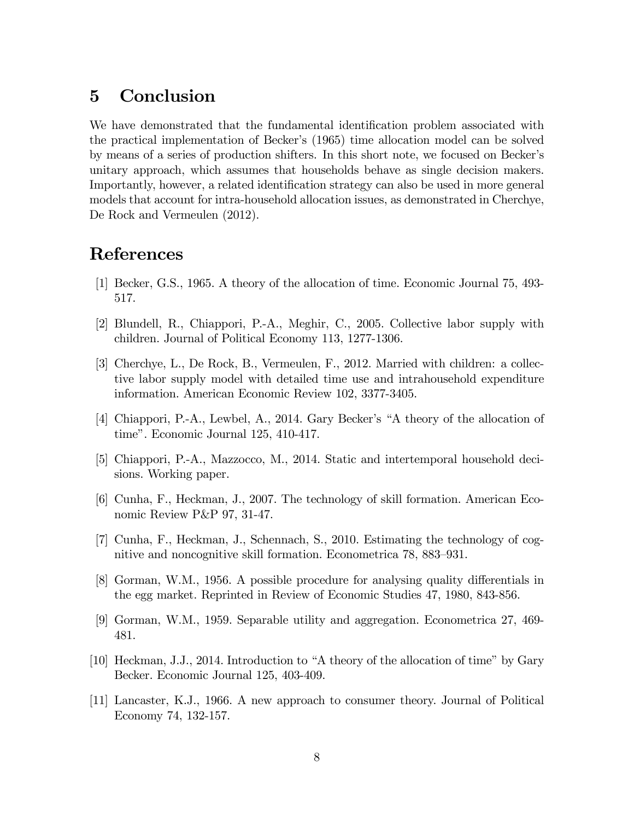### 5 Conclusion

We have demonstrated that the fundamental identification problem associated with the practical implementation of Beckerís (1965) time allocation model can be solved by means of a series of production shifters. In this short note, we focused on Beckerís unitary approach, which assumes that households behave as single decision makers. Importantly, however, a related identification strategy can also be used in more general models that account for intra-household allocation issues, as demonstrated in Cherchye, De Rock and Vermeulen (2012).

### References

- [1] Becker, G.S., 1965. A theory of the allocation of time. Economic Journal 75, 493- 517.
- [2] Blundell, R., Chiappori, P.-A., Meghir, C., 2005. Collective labor supply with children. Journal of Political Economy 113, 1277-1306.
- [3] Cherchye, L., De Rock, B., Vermeulen, F., 2012. Married with children: a collective labor supply model with detailed time use and intrahousehold expenditure information. American Economic Review 102, 3377-3405.
- [4] Chiappori, P.-A., Lewbel, A., 2014. Gary Becker's "A theory of the allocation of time". Economic Journal 125, 410-417.
- [5] Chiappori, P.-A., Mazzocco, M., 2014. Static and intertemporal household decisions. Working paper.
- [6] Cunha, F., Heckman, J., 2007. The technology of skill formation. American Economic Review P&P 97, 31-47.
- [7] Cunha, F., Heckman, J., Schennach, S., 2010. Estimating the technology of cognitive and noncognitive skill formation. Econometrica 78, 883-931.
- [8] Gorman, W.M., 1956. A possible procedure for analysing quality differentials in the egg market. Reprinted in Review of Economic Studies 47, 1980, 843-856.
- [9] Gorman, W.M., 1959. Separable utility and aggregation. Econometrica 27, 469- 481.
- [10] Heckman, J.J., 2014. Introduction to "A theory of the allocation of time" by Gary Becker. Economic Journal 125, 403-409.
- [11] Lancaster, K.J., 1966. A new approach to consumer theory. Journal of Political Economy 74, 132-157.